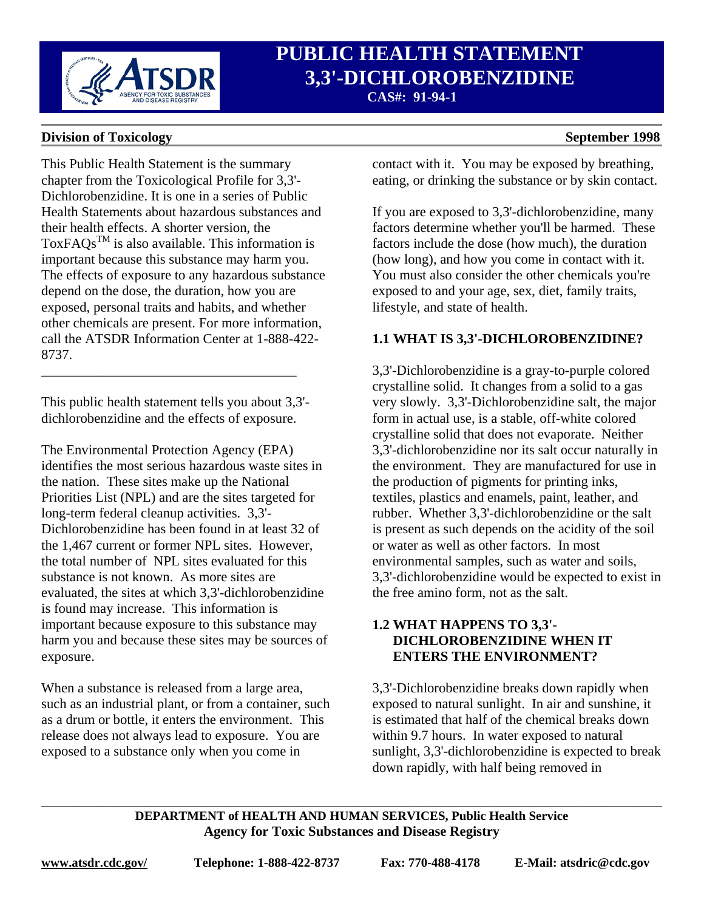

# **PUBLIC HEALTH STATEMENT**<br> *3,3'***-DICHLOROBENZIDINE 3,3'-DICHLOROBENZIDINE CAS#: 91-94-1**

### **Division of Toxicology** September 1998

This Public Health Statement is the summary chapter from the Toxicological Profile for 3,3'- Dichlorobenzidine. It is one in a series of Public Health Statements about hazardous substances and their health effects. A shorter version, the ToxFAQs<sup>TM</sup> is also available. This information is important because this substance may harm you. The effects of exposure to any hazardous substance depend on the dose, the duration, how you are exposed, personal traits and habits, and whether other chemicals are present. For more information, call the ATSDR Information Center at 1-888-422- 8737.

This public health statement tells you about 3,3' dichlorobenzidine and the effects of exposure.

\_\_\_\_\_\_\_\_\_\_\_\_\_\_\_\_\_\_\_\_\_\_\_\_\_\_\_\_\_\_\_\_\_\_\_\_\_

The Environmental Protection Agency (EPA) identifies the most serious hazardous waste sites in the nation. These sites make up the National Priorities List (NPL) and are the sites targeted for long-term federal cleanup activities. 3,3'- Dichlorobenzidine has been found in at least 32 of the 1,467 current or former NPL sites. However, the total number of NPL sites evaluated for this substance is not known. As more sites are evaluated, the sites at which 3,3'-dichlorobenzidine is found may increase. This information is important because exposure to this substance may harm you and because these sites may be sources of exposure.

When a substance is released from a large area, such as an industrial plant, or from a container, such as a drum or bottle, it enters the environment. This release does not always lead to exposure. You are exposed to a substance only when you come in

contact with it. You may be exposed by breathing, eating, or drinking the substance or by skin contact.

If you are exposed to 3,3'-dichlorobenzidine, many factors determine whether you'll be harmed. These factors include the dose (how much), the duration (how long), and how you come in contact with it. You must also consider the other chemicals you're exposed to and your age, sex, diet, family traits, lifestyle, and state of health.

### **1.1 WHAT IS 3,3'-DICHLOROBENZIDINE?**

3,3'-Dichlorobenzidine is a gray-to-purple colored crystalline solid. It changes from a solid to a gas very slowly. 3,3'-Dichlorobenzidine salt, the major form in actual use, is a stable, off-white colored crystalline solid that does not evaporate. Neither 3,3'-dichlorobenzidine nor its salt occur naturally in the environment. They are manufactured for use in the production of pigments for printing inks, textiles, plastics and enamels, paint, leather, and rubber. Whether 3,3'-dichlorobenzidine or the salt is present as such depends on the acidity of the soil or water as well as other factors. In most environmental samples, such as water and soils, 3,3'-dichlorobenzidine would be expected to exist in the free amino form, not as the salt.

### **1.2 WHAT HAPPENS TO 3,3'- DICHLOROBENZIDINE WHEN IT ENTERS THE ENVIRONMENT?**

3,3'-Dichlorobenzidine breaks down rapidly when exposed to natural sunlight. In air and sunshine, it is estimated that half of the chemical breaks down within 9.7 hours. In water exposed to natural sunlight, 3,3'-dichlorobenzidine is expected to break down rapidly, with half being removed in

#### **DEPARTMENT of HEALTH AND HUMAN SERVICES, Public Health Service Agency for Toxic Substances and Disease Registry**

\_\_\_\_\_\_\_\_\_\_\_\_\_\_\_\_\_\_\_\_\_\_\_\_\_\_\_\_\_\_\_\_\_\_\_\_\_\_\_\_\_\_\_\_\_\_\_\_\_\_\_\_\_\_\_\_\_\_\_\_\_\_\_\_\_\_\_\_\_\_\_\_\_\_\_\_\_\_\_\_\_\_\_\_\_\_\_\_\_\_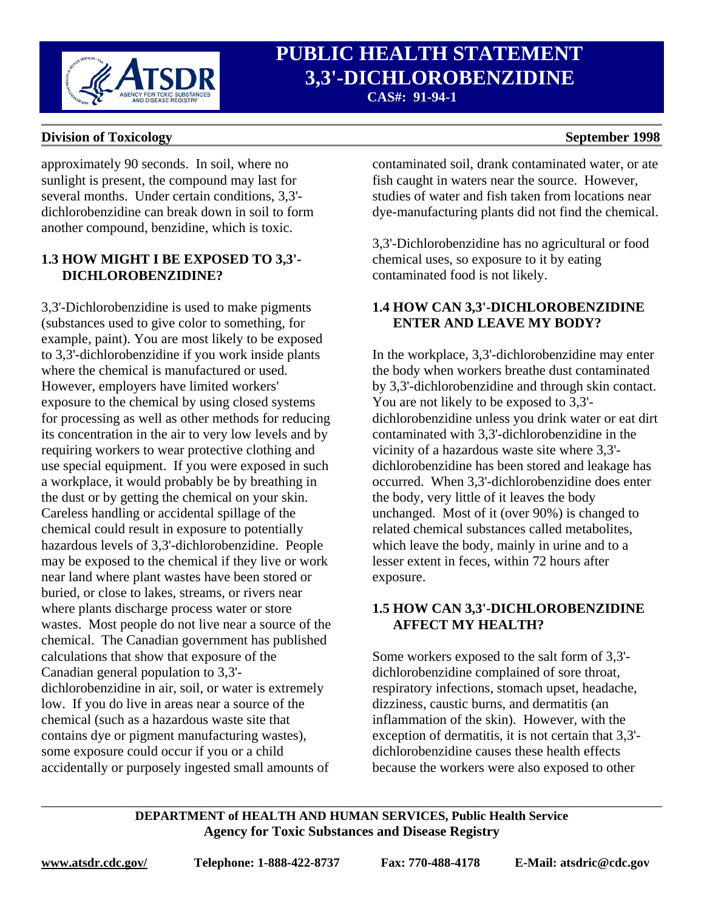

# **PUBLIC HEALTH STATEMENT**<br>*3,3'***-DICHLOROBENZIDINE 3,3'-DICHLOROBENZIDINE CAS#: 91-94-1**

#### **Division of Toxicology** September 1998

approximately 90 seconds. In soil, where no sunlight is present, the compound may last for several months. Under certain conditions, 3,3' dichlorobenzidine can break down in soil to form another compound, benzidine, which is toxic.

## **1.3 HOW MIGHT I BE EXPOSED TO 3,3'- DICHLOROBENZIDINE?**

3,3'-Dichlorobenzidine is used to make pigments (substances used to give color to something, for example, paint). You are most likely to be exposed to 3,3'-dichlorobenzidine if you work inside plants where the chemical is manufactured or used. However, employers have limited workers' exposure to the chemical by using closed systems for processing as well as other methods for reducing its concentration in the air to very low levels and by requiring workers to wear protective clothing and use special equipment. If you were exposed in such a workplace, it would probably be by breathing in the dust or by getting the chemical on your skin. Careless handling or accidental spillage of the chemical could result in exposure to potentially hazardous levels of 3,3'-dichlorobenzidine. People may be exposed to the chemical if they live or work near land where plant wastes have been stored or buried, or close to lakes, streams, or rivers near where plants discharge process water or store wastes. Most people do not live near a source of the chemical. The Canadian government has published calculations that show that exposure of the Canadian general population to 3,3' dichlorobenzidine in air, soil, or water is extremely low. If you do live in areas near a source of the chemical (such as a hazardous waste site that contains dye or pigment manufacturing wastes), some exposure could occur if you or a child accidentally or purposely ingested small amounts of

contaminated soil, drank contaminated water, or ate fish caught in waters near the source. However, studies of water and fish taken from locations near dye-manufacturing plants did not find the chemical.

3,3'-Dichlorobenzidine has no agricultural or food chemical uses, so exposure to it by eating contaminated food is not likely.

## **1.4 HOW CAN 3,3'-DICHLOROBENZIDINE ENTER AND LEAVE MY BODY?**

In the workplace, 3,3'-dichlorobenzidine may enter the body when workers breathe dust contaminated by 3,3'-dichlorobenzidine and through skin contact. You are not likely to be exposed to 3,3' dichlorobenzidine unless you drink water or eat dirt contaminated with 3,3'-dichlorobenzidine in the vicinity of a hazardous waste site where 3,3' dichlorobenzidine has been stored and leakage has occurred. When 3,3'-dichlorobenzidine does enter the body, very little of it leaves the body unchanged. Most of it (over 90%) is changed to related chemical substances called metabolites, which leave the body, mainly in urine and to a lesser extent in feces, within 72 hours after exposure.

### **1.5 HOW CAN 3,3'-DICHLOROBENZIDINE AFFECT MY HEALTH?**

Some workers exposed to the salt form of 3,3' dichlorobenzidine complained of sore throat, respiratory infections, stomach upset, headache, dizziness, caustic burns, and dermatitis (an inflammation of the skin). However, with the exception of dermatitis, it is not certain that 3,3' dichlorobenzidine causes these health effects because the workers were also exposed to other

#### **DEPARTMENT of HEALTH AND HUMAN SERVICES, Public Health Service Agency for Toxic Substances and Disease Registry**

\_\_\_\_\_\_\_\_\_\_\_\_\_\_\_\_\_\_\_\_\_\_\_\_\_\_\_\_\_\_\_\_\_\_\_\_\_\_\_\_\_\_\_\_\_\_\_\_\_\_\_\_\_\_\_\_\_\_\_\_\_\_\_\_\_\_\_\_\_\_\_\_\_\_\_\_\_\_\_\_\_\_\_\_\_\_\_\_\_\_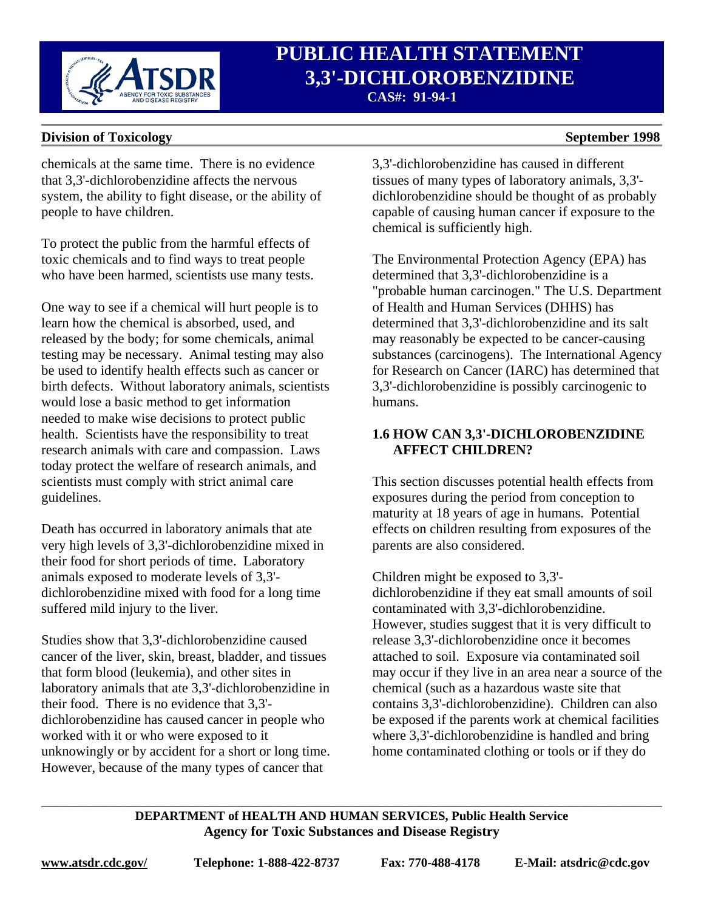

# **PUBLIC HEALTH STATEMENT**<br> *B.3'-DICHLOROBENZIDINE*  **3,3'-DICHLOROBENZIDINE CAS#: 91-94-1**

### **Division of Toxicology** September 1998

#### chemicals at the same time. There is no evidence that 3,3'-dichlorobenzidine affects the nervous system, the ability to fight disease, or the ability of people to have children.

To protect the public from the harmful effects of toxic chemicals and to find ways to treat people who have been harmed, scientists use many tests.

One way to see if a chemical will hurt people is to learn how the chemical is absorbed, used, and released by the body; for some chemicals, animal testing may be necessary. Animal testing may also be used to identify health effects such as cancer or birth defects. Without laboratory animals, scientists would lose a basic method to get information needed to make wise decisions to protect public health. Scientists have the responsibility to treat research animals with care and compassion. Laws today protect the welfare of research animals, and scientists must comply with strict animal care guidelines.

Death has occurred in laboratory animals that ate very high levels of 3,3'-dichlorobenzidine mixed in their food for short periods of time. Laboratory animals exposed to moderate levels of 3,3' dichlorobenzidine mixed with food for a long time suffered mild injury to the liver.

Studies show that 3,3'-dichlorobenzidine caused cancer of the liver, skin, breast, bladder, and tissues that form blood (leukemia), and other sites in laboratory animals that ate 3,3'-dichlorobenzidine in their food. There is no evidence that 3,3' dichlorobenzidine has caused cancer in people who worked with it or who were exposed to it unknowingly or by accident for a short or long time. However, because of the many types of cancer that

3,3'-dichlorobenzidine has caused in different tissues of many types of laboratory animals, 3,3' dichlorobenzidine should be thought of as probably capable of causing human cancer if exposure to the chemical is sufficiently high.

The Environmental Protection Agency (EPA) has determined that 3,3'-dichlorobenzidine is a "probable human carcinogen." The U.S. Department of Health and Human Services (DHHS) has determined that 3,3'-dichlorobenzidine and its salt may reasonably be expected to be cancer-causing substances (carcinogens). The International Agency for Research on Cancer (IARC) has determined that 3,3'-dichlorobenzidine is possibly carcinogenic to humans.

### **1.6 HOW CAN 3,3'-DICHLOROBENZIDINE AFFECT CHILDREN?**

This section discusses potential health effects from exposures during the period from conception to maturity at 18 years of age in humans. Potential effects on children resulting from exposures of the parents are also considered.

Children might be exposed to 3,3' dichlorobenzidine if they eat small amounts of soil contaminated with 3,3'-dichlorobenzidine. However, studies suggest that it is very difficult to release 3,3'-dichlorobenzidine once it becomes attached to soil. Exposure via contaminated soil may occur if they live in an area near a source of the chemical (such as a hazardous waste site that contains 3,3'-dichlorobenzidine). Children can also be exposed if the parents work at chemical facilities where 3,3'-dichlorobenzidine is handled and bring home contaminated clothing or tools or if they do

**DEPARTMENT of HEALTH AND HUMAN SERVICES, Public Health Service Agency for Toxic Substances and Disease Registry** 

\_\_\_\_\_\_\_\_\_\_\_\_\_\_\_\_\_\_\_\_\_\_\_\_\_\_\_\_\_\_\_\_\_\_\_\_\_\_\_\_\_\_\_\_\_\_\_\_\_\_\_\_\_\_\_\_\_\_\_\_\_\_\_\_\_\_\_\_\_\_\_\_\_\_\_\_\_\_\_\_\_\_\_\_\_\_\_\_\_\_

|--|

**www.atsdr.cdc.gov/ Telephone: 1-888-422-8737 Fax: 770-488-4178 E-Mail: atsdric@cdc.gov**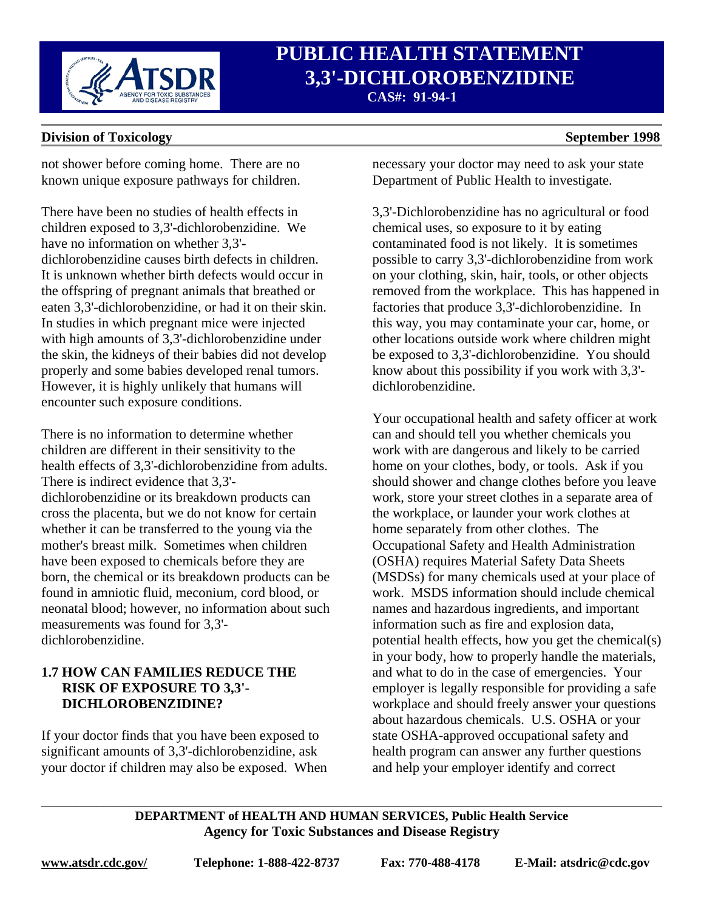

# **PUBLIC HEALTH STATEMENT**<br> *B.3'-DICHLOROBENZIDINE*  **3,3'-DICHLOROBENZIDINE CAS#: 91-94-1**

#### **Division of Toxicology** September 1998

### not shower before coming home. There are no known unique exposure pathways for children.

There have been no studies of health effects in children exposed to 3,3'-dichlorobenzidine. We have no information on whether 3,3' dichlorobenzidine causes birth defects in children. It is unknown whether birth defects would occur in the offspring of pregnant animals that breathed or eaten 3,3'-dichlorobenzidine, or had it on their skin. In studies in which pregnant mice were injected with high amounts of 3,3'-dichlorobenzidine under the skin, the kidneys of their babies did not develop properly and some babies developed renal tumors. However, it is highly unlikely that humans will encounter such exposure conditions.

There is no information to determine whether children are different in their sensitivity to the health effects of 3,3'-dichlorobenzidine from adults. There is indirect evidence that 3,3' dichlorobenzidine or its breakdown products can cross the placenta, but we do not know for certain whether it can be transferred to the young via the mother's breast milk. Sometimes when children have been exposed to chemicals before they are born, the chemical or its breakdown products can be found in amniotic fluid, meconium, cord blood, or neonatal blood; however, no information about such measurements was found for 3,3' dichlorobenzidine.

#### **1.7 HOW CAN FAMILIES REDUCE THE RISK OF EXPOSURE TO 3,3'- DICHLOROBENZIDINE?**

If your doctor finds that you have been exposed to significant amounts of 3,3'-dichlorobenzidine, ask your doctor if children may also be exposed. When necessary your doctor may need to ask your state Department of Public Health to investigate.

3,3'-Dichlorobenzidine has no agricultural or food chemical uses, so exposure to it by eating contaminated food is not likely. It is sometimes possible to carry 3,3'-dichlorobenzidine from work on your clothing, skin, hair, tools, or other objects removed from the workplace. This has happened in factories that produce 3,3'-dichlorobenzidine. In this way, you may contaminate your car, home, or other locations outside work where children might be exposed to 3,3'-dichlorobenzidine. You should know about this possibility if you work with 3,3' dichlorobenzidine.

Your occupational health and safety officer at work can and should tell you whether chemicals you work with are dangerous and likely to be carried home on your clothes, body, or tools. Ask if you should shower and change clothes before you leave work, store your street clothes in a separate area of the workplace, or launder your work clothes at home separately from other clothes. The Occupational Safety and Health Administration (OSHA) requires Material Safety Data Sheets (MSDSs) for many chemicals used at your place of work. MSDS information should include chemical names and hazardous ingredients, and important information such as fire and explosion data, potential health effects, how you get the chemical(s) in your body, how to properly handle the materials, and what to do in the case of emergencies. Your employer is legally responsible for providing a safe workplace and should freely answer your questions about hazardous chemicals. U.S. OSHA or your state OSHA-approved occupational safety and health program can answer any further questions and help your employer identify and correct

**DEPARTMENT of HEALTH AND HUMAN SERVICES, Public Health Service Agency for Toxic Substances and Disease Registry** 

\_\_\_\_\_\_\_\_\_\_\_\_\_\_\_\_\_\_\_\_\_\_\_\_\_\_\_\_\_\_\_\_\_\_\_\_\_\_\_\_\_\_\_\_\_\_\_\_\_\_\_\_\_\_\_\_\_\_\_\_\_\_\_\_\_\_\_\_\_\_\_\_\_\_\_\_\_\_\_\_\_\_\_\_\_\_\_\_\_\_

**www.atsdr.cdc.gov/ Telephone: 1-888-422-8737 Fax: 770-488-4178 E-Mail: atsdric@cdc.gov**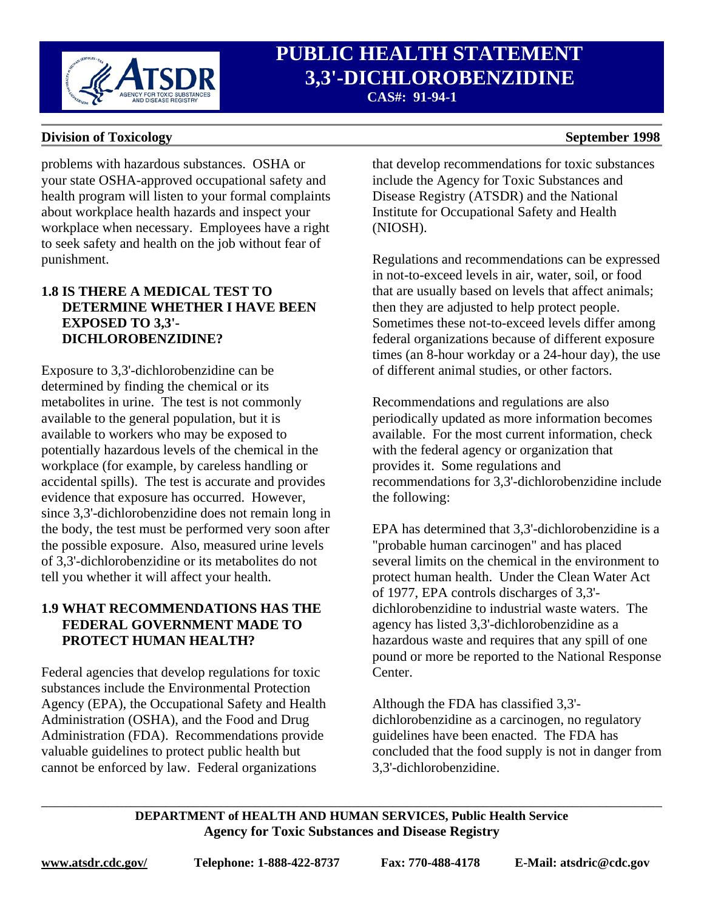

# **PUBLIC HEALTH STATEMENT**<br> *B.3'-DICHLOROBENZIDINE*  **3,3'-DICHLOROBENZIDINE CAS#: 91-94-1**

#### **Division of Toxicology** September 1998

problems with hazardous substances. OSHA or your state OSHA-approved occupational safety and health program will listen to your formal complaints about workplace health hazards and inspect your workplace when necessary. Employees have a right to seek safety and health on the job without fear of punishment.

### **1.8 IS THERE A MEDICAL TEST TO DETERMINE WHETHER I HAVE BEEN EXPOSED TO 3,3'- DICHLOROBENZIDINE?**

Exposure to 3,3'-dichlorobenzidine can be determined by finding the chemical or its metabolites in urine. The test is not commonly available to the general population, but it is available to workers who may be exposed to potentially hazardous levels of the chemical in the workplace (for example, by careless handling or accidental spills). The test is accurate and provides evidence that exposure has occurred. However, since 3,3'-dichlorobenzidine does not remain long in the body, the test must be performed very soon after the possible exposure. Also, measured urine levels of 3,3'-dichlorobenzidine or its metabolites do not tell you whether it will affect your health.

### **1.9 WHAT RECOMMENDATIONS HAS THE FEDERAL GOVERNMENT MADE TO PROTECT HUMAN HEALTH?**

Federal agencies that develop regulations for toxic substances include the Environmental Protection Agency (EPA), the Occupational Safety and Health Administration (OSHA), and the Food and Drug Administration (FDA). Recommendations provide valuable guidelines to protect public health but cannot be enforced by law. Federal organizations

that develop recommendations for toxic substances include the Agency for Toxic Substances and Disease Registry (ATSDR) and the National Institute for Occupational Safety and Health (NIOSH).

Regulations and recommendations can be expressed in not-to-exceed levels in air, water, soil, or food that are usually based on levels that affect animals; then they are adjusted to help protect people. Sometimes these not-to-exceed levels differ among federal organizations because of different exposure times (an 8-hour workday or a 24-hour day), the use of different animal studies, or other factors.

Recommendations and regulations are also periodically updated as more information becomes available. For the most current information, check with the federal agency or organization that provides it. Some regulations and recommendations for 3,3'-dichlorobenzidine include the following:

EPA has determined that 3,3'-dichlorobenzidine is a "probable human carcinogen" and has placed several limits on the chemical in the environment to protect human health. Under the Clean Water Act of 1977, EPA controls discharges of 3,3' dichlorobenzidine to industrial waste waters. The agency has listed 3,3'-dichlorobenzidine as a hazardous waste and requires that any spill of one pound or more be reported to the National Response Center.

Although the FDA has classified 3,3' dichlorobenzidine as a carcinogen, no regulatory guidelines have been enacted. The FDA has concluded that the food supply is not in danger from 3,3'-dichlorobenzidine.

**DEPARTMENT of HEALTH AND HUMAN SERVICES, Public Health Service Agency for Toxic Substances and Disease Registry** 

\_\_\_\_\_\_\_\_\_\_\_\_\_\_\_\_\_\_\_\_\_\_\_\_\_\_\_\_\_\_\_\_\_\_\_\_\_\_\_\_\_\_\_\_\_\_\_\_\_\_\_\_\_\_\_\_\_\_\_\_\_\_\_\_\_\_\_\_\_\_\_\_\_\_\_\_\_\_\_\_\_\_\_\_\_\_\_\_\_\_